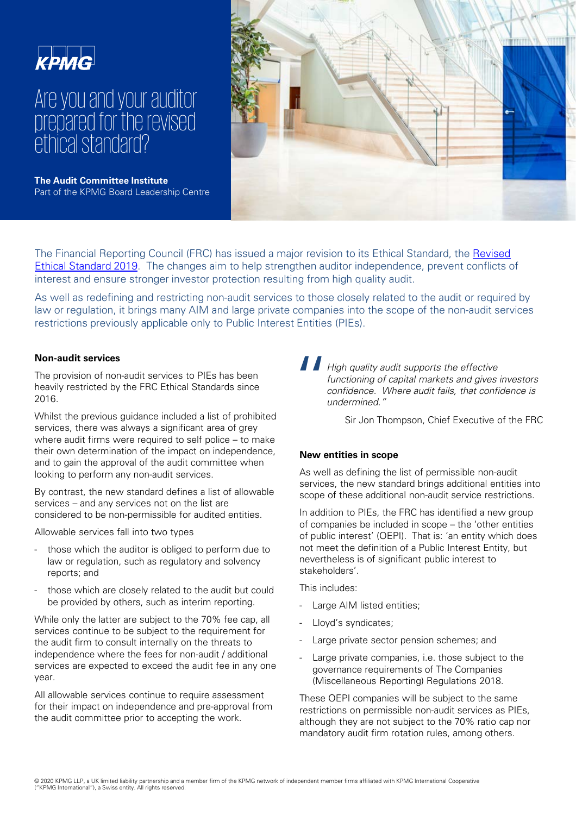

# Are you and your auditor prepared for the revised ethical standard?

**The Audit Committee Institute** Part of the KPMG Board Leadership Centre



[The Financial Reporting Council \(FRC\) has issued a major revision to its Ethical Standard, the Revised](https://www.frc.org.uk/auditors/audit-assurance/standards-and-guidance/2016-ethical-standards-(1))  Ethical Standard 2019. The changes aim to help strengthen auditor independence, prevent conflicts of interest and ensure stronger investor protection resulting from high quality audit.

As well as redefining and restricting non-audit services to those closely related to the audit or required by law or regulation, it brings many AIM and large private companies into the scope of the non-audit services restrictions previously applicable only to Public Interest Entities (PIEs).

#### **Non-audit services**

The provision of non-audit services to PIEs has been heavily restricted by the FRC Ethical Standards since 2016.

Whilst the previous guidance included a list of prohibited services, there was always a significant area of grey where audit firms were required to self police – to make their own determination of the impact on independence, and to gain the approval of the audit committee when looking to perform any non-audit services.

By contrast, the new standard defines a list of allowable services – and any services not on the list are considered to be non-permissible for audited entities.

Allowable services fall into two types

- those which the auditor is obliged to perform due to law or regulation, such as regulatory and solvency reports; and
- those which are closely related to the audit but could be provided by others, such as interim reporting.

While only the latter are subject to the 70% fee cap, all services continue to be subject to the requirement for the audit firm to consult internally on the threats to independence where the fees for non-audit / additional services are expected to exceed the audit fee in any one year.

All allowable services continue to require assessment for their impact on independence and pre-approval from the audit committee prior to accepting the work.

 $\prod_{\substack{f\\b\ c\ c\ d}}$ High quality audit supports the effective functioning of capital markets and gives investors confidence. Where audit fails, that confidence is undermined."

Sir Jon Thompson, Chief Executive of the FRC

### **New entities in scope**

As well as defining the list of permissible non-audit services, the new standard brings additional entities into scope of these additional non-audit service restrictions.

In addition to PIEs, the FRC has identified a new group of companies be included in scope – the 'other entities of public interest' (OEPI). That is: 'an entity which does not meet the definition of a Public Interest Entity, but nevertheless is of significant public interest to stakeholders'.

This includes:

- Large AIM listed entities;
- Lloyd's syndicates;
- Large private sector pension schemes; and
- Large private companies, i.e. those subject to the governance requirements of The Companies (Miscellaneous Reporting) Regulations 2018.

These OEPI companies will be subject to the same restrictions on permissible non-audit services as PIEs, although they are not subject to the 70% ratio cap nor mandatory audit firm rotation rules, among others.